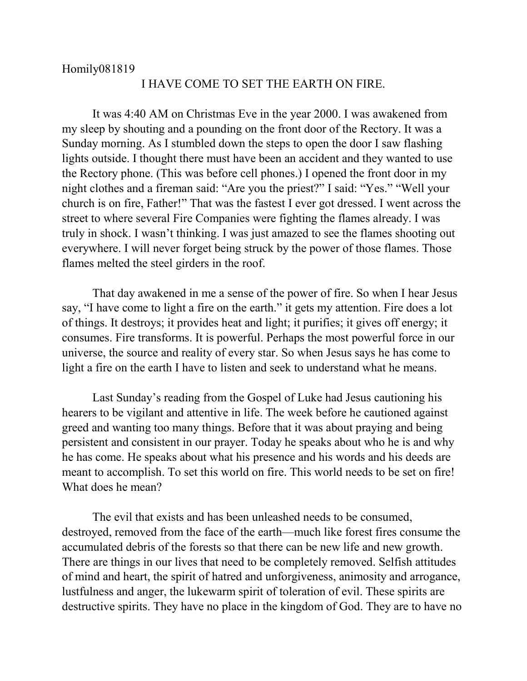## Homily081819

## I HAVE COME TO SET THE EARTH ON FIRE.

It was 4:40 AM on Christmas Eve in the year 2000. I was awakened from my sleep by shouting and a pounding on the front door of the Rectory. It was a Sunday morning. As I stumbled down the steps to open the door I saw flashing lights outside. I thought there must have been an accident and they wanted to use the Rectory phone. (This was before cell phones.) I opened the front door in my night clothes and a fireman said: "Are you the priest?" I said: "Yes." "Well your church is on fire, Father!" That was the fastest I ever got dressed. I went across the street to where several Fire Companies were fighting the flames already. I was truly in shock. I wasn't thinking. I was just amazed to see the flames shooting out everywhere. I will never forget being struck by the power of those flames. Those flames melted the steel girders in the roof.

That day awakened in me a sense of the power of fire. So when I hear Jesus say, "I have come to light a fire on the earth." it gets my attention. Fire does a lot of things. It destroys; it provides heat and light; it purifies; it gives off energy; it consumes. Fire transforms. It is powerful. Perhaps the most powerful force in our universe, the source and reality of every star. So when Jesus says he has come to light a fire on the earth I have to listen and seek to understand what he means.

Last Sunday's reading from the Gospel of Luke had Jesus cautioning his hearers to be vigilant and attentive in life. The week before he cautioned against greed and wanting too many things. Before that it was about praying and being persistent and consistent in our prayer. Today he speaks about who he is and why he has come. He speaks about what his presence and his words and his deeds are meant to accomplish. To set this world on fire. This world needs to be set on fire! What does he mean?

The evil that exists and has been unleashed needs to be consumed, destroyed, removed from the face of the earth—much like forest fires consume the accumulated debris of the forests so that there can be new life and new growth. There are things in our lives that need to be completely removed. Selfish attitudes of mind and heart, the spirit of hatred and unforgiveness, animosity and arrogance, lustfulness and anger, the lukewarm spirit of toleration of evil. These spirits are destructive spirits. They have no place in the kingdom of God. They are to have no